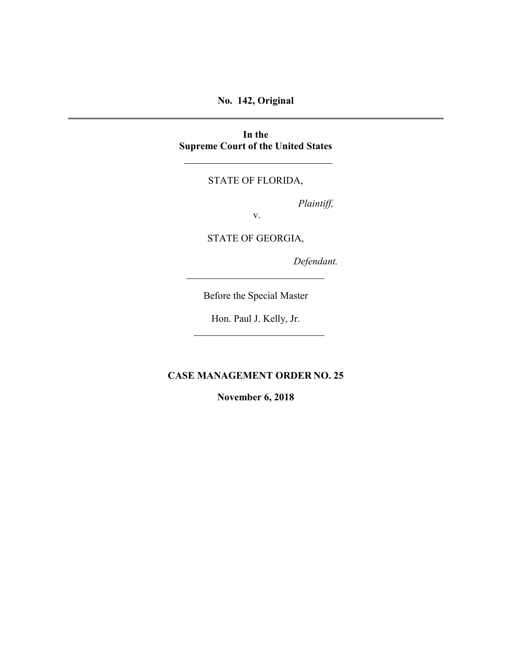**No. 142, Original**

**In the Supreme Court of the United States**

STATE OF FLORIDA,

*Plaintiff,*

v.

STATE OF GEORGIA,

*Defendant.*

Before the Special Master

Hon. Paul J. Kelly, Jr.

**CASE MANAGEMENT ORDER NO. 25**

**November 6, 2018**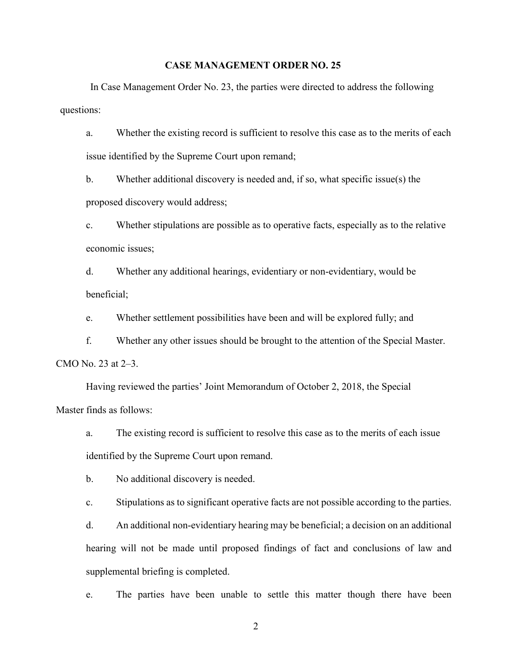## **CASE MANAGEMENT ORDER NO. 25**

In Case Management Order No. 23, the parties were directed to address the following questions:

a. Whether the existing record is sufficient to resolve this case as to the merits of each issue identified by the Supreme Court upon remand;

b. Whether additional discovery is needed and, if so, what specific issue(s) the proposed discovery would address;

c. Whether stipulations are possible as to operative facts, especially as to the relative economic issues;

d. Whether any additional hearings, evidentiary or non-evidentiary, would be beneficial;

e. Whether settlement possibilities have been and will be explored fully; and

f. Whether any other issues should be brought to the attention of the Special Master. CMO No. 23 at 2–3.

Having reviewed the parties' Joint Memorandum of October 2, 2018, the Special Master finds as follows:

a. The existing record is sufficient to resolve this case as to the merits of each issue identified by the Supreme Court upon remand.

b. No additional discovery is needed.

c. Stipulations as to significant operative facts are not possible according to the parties.

d. An additional non-evidentiary hearing may be beneficial; a decision on an additional hearing will not be made until proposed findings of fact and conclusions of law and supplemental briefing is completed.

e. The parties have been unable to settle this matter though there have been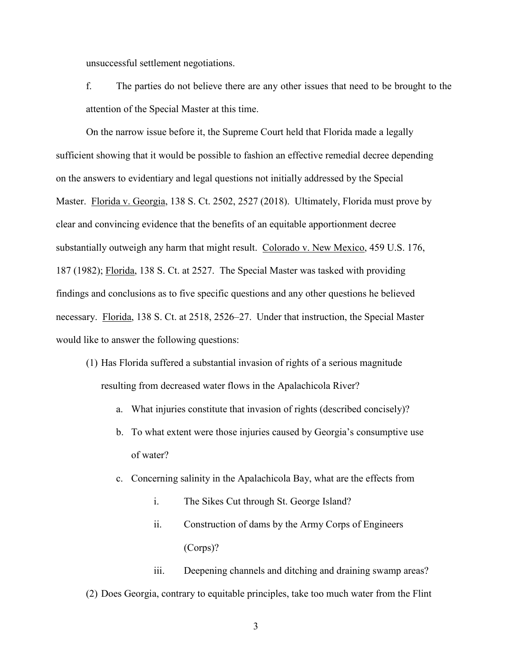unsuccessful settlement negotiations.

f. The parties do not believe there are any other issues that need to be brought to the attention of the Special Master at this time.

On the narrow issue before it, the Supreme Court held that Florida made a legally sufficient showing that it would be possible to fashion an effective remedial decree depending on the answers to evidentiary and legal questions not initially addressed by the Special Master. Florida v. Georgia, 138 S. Ct. 2502, 2527 (2018). Ultimately, Florida must prove by clear and convincing evidence that the benefits of an equitable apportionment decree substantially outweigh any harm that might result. Colorado v. New Mexico, 459 U.S. 176, 187 (1982); Florida, 138 S. Ct. at 2527. The Special Master was tasked with providing findings and conclusions as to five specific questions and any other questions he believed necessary. Florida, 138 S. Ct. at 2518, 2526–27. Under that instruction, the Special Master would like to answer the following questions:

- (1) Has Florida suffered a substantial invasion of rights of a serious magnitude resulting from decreased water flows in the Apalachicola River?
	- a. What injuries constitute that invasion of rights (described concisely)?
	- b. To what extent were those injuries caused by Georgia's consumptive use of water?
	- c. Concerning salinity in the Apalachicola Bay, what are the effects from
		- i. The Sikes Cut through St. George Island?
		- ii. Construction of dams by the Army Corps of Engineers (Corps)?

iii. Deepening channels and ditching and draining swamp areas?

(2) Does Georgia, contrary to equitable principles, take too much water from the Flint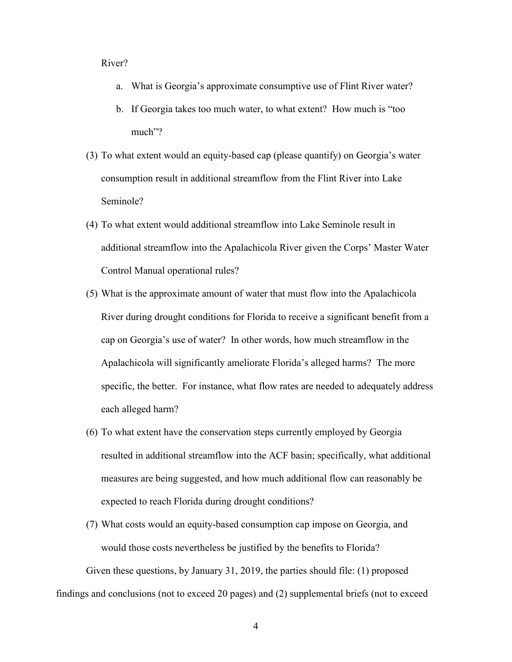## River?

- a. What is Georgia's approximate consumptive use of Flint River water?
- b. If Georgia takes too much water, to what extent? How much is "too much"?
- (3) To what extent would an equity-based cap (please quantify) on Georgia's water consumption result in additional streamflow from the Flint River into Lake Seminole?
- (4) To what extent would additional streamflow into Lake Seminole result in additional streamflow into the Apalachicola River given the Corps' Master Water Control Manual operational rules?
- (5) What is the approximate amount of water that must flow into the Apalachicola River during drought conditions for Florida to receive a significant benefit from a cap on Georgia's use of water? In other words, how much streamflow in the Apalachicola will significantly ameliorate Florida's alleged harms? The more specific, the better. For instance, what flow rates are needed to adequately address each alleged harm?
- (6) To what extent have the conservation steps currently employed by Georgia resulted in additional streamflow into the ACF basin; specifically, what additional measures are being suggested, and how much additional flow can reasonably be expected to reach Florida during drought conditions?
- (7) What costs would an equity-based consumption cap impose on Georgia, and would those costs nevertheless be justified by the benefits to Florida?

Given these questions, by January 31, 2019, the parties should file: (1) proposed findings and conclusions (not to exceed 20 pages) and (2) supplemental briefs (not to exceed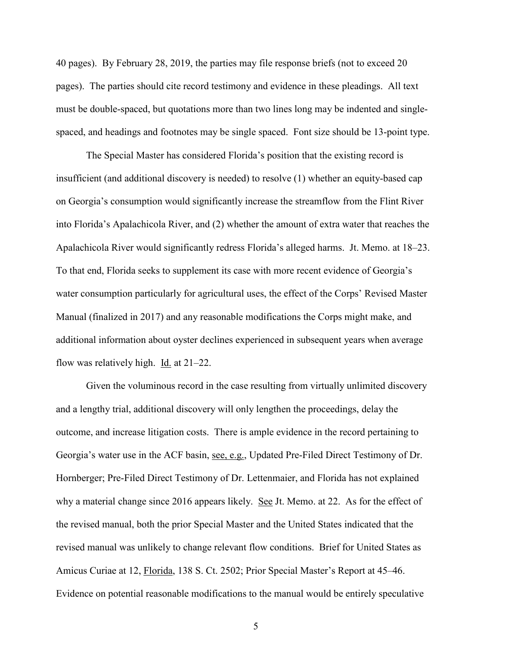40 pages). By February 28, 2019, the parties may file response briefs (not to exceed 20 pages). The parties should cite record testimony and evidence in these pleadings. All text must be double-spaced, but quotations more than two lines long may be indented and singlespaced, and headings and footnotes may be single spaced. Font size should be 13-point type.

The Special Master has considered Florida's position that the existing record is insufficient (and additional discovery is needed) to resolve (1) whether an equity-based cap on Georgia's consumption would significantly increase the streamflow from the Flint River into Florida's Apalachicola River, and (2) whether the amount of extra water that reaches the Apalachicola River would significantly redress Florida's alleged harms. Jt. Memo. at 18–23. To that end, Florida seeks to supplement its case with more recent evidence of Georgia's water consumption particularly for agricultural uses, the effect of the Corps' Revised Master Manual (finalized in 2017) and any reasonable modifications the Corps might make, and additional information about oyster declines experienced in subsequent years when average flow was relatively high. Id. at  $21-22$ .

Given the voluminous record in the case resulting from virtually unlimited discovery and a lengthy trial, additional discovery will only lengthen the proceedings, delay the outcome, and increase litigation costs. There is ample evidence in the record pertaining to Georgia's water use in the ACF basin, see, e.g., Updated Pre-Filed Direct Testimony of Dr. Hornberger; Pre-Filed Direct Testimony of Dr. Lettenmaier, and Florida has not explained why a material change since 2016 appears likely. See Jt. Memo. at 22. As for the effect of the revised manual, both the prior Special Master and the United States indicated that the revised manual was unlikely to change relevant flow conditions. Brief for United States as Amicus Curiae at 12, Florida, 138 S. Ct. 2502; Prior Special Master's Report at 45–46. Evidence on potential reasonable modifications to the manual would be entirely speculative